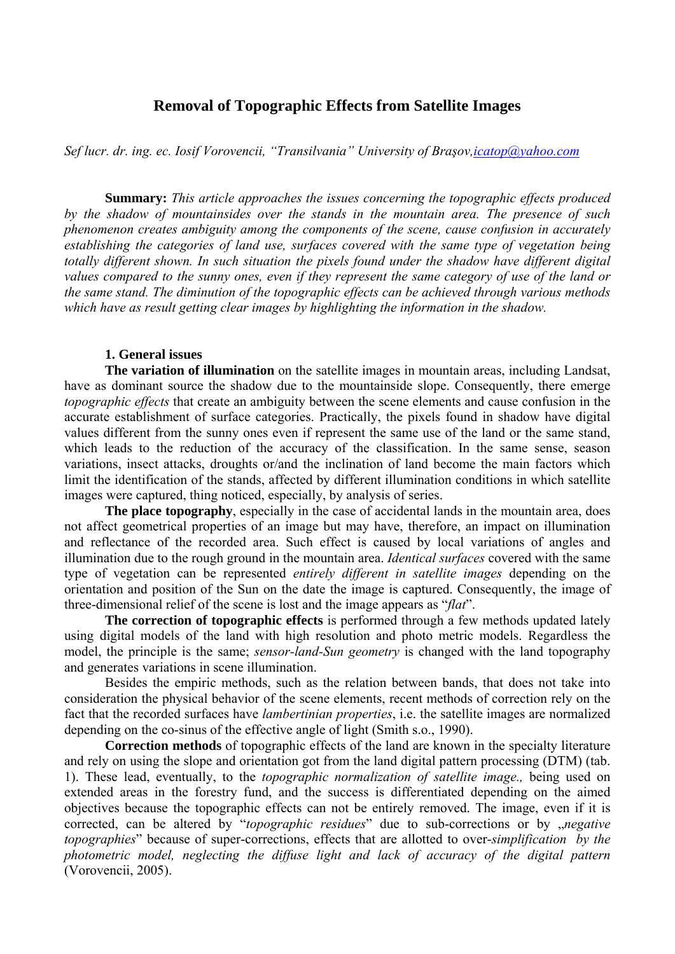# **Removal of Topographic Effects from Satellite Images**

*Sef lucr. dr. ing. ec. Iosif Vorovencii, "Transilvania" University of Braşov,icatop@yahoo.com*

**Summary:** *This article approaches the issues concerning the topographic effects produced by the shadow of mountainsides over the stands in the mountain area. The presence of such phenomenon creates ambiguity among the components of the scene, cause confusion in accurately establishing the categories of land use, surfaces covered with the same type of vegetation being totally different shown. In such situation the pixels found under the shadow have different digital values compared to the sunny ones, even if they represent the same category of use of the land or the same stand. The diminution of the topographic effects can be achieved through various methods which have as result getting clear images by highlighting the information in the shadow.* 

## **1. General issues**

**The variation of illumination** on the satellite images in mountain areas, including Landsat, have as dominant source the shadow due to the mountainside slope. Consequently, there emerge *topographic effects* that create an ambiguity between the scene elements and cause confusion in the accurate establishment of surface categories. Practically, the pixels found in shadow have digital values different from the sunny ones even if represent the same use of the land or the same stand, which leads to the reduction of the accuracy of the classification. In the same sense, season variations, insect attacks, droughts or/and the inclination of land become the main factors which limit the identification of the stands, affected by different illumination conditions in which satellite images were captured, thing noticed, especially, by analysis of series.

**The place topography**, especially in the case of accidental lands in the mountain area, does not affect geometrical properties of an image but may have, therefore, an impact on illumination and reflectance of the recorded area. Such effect is caused by local variations of angles and illumination due to the rough ground in the mountain area. *Identical surfaces* covered with the same type of vegetation can be represented *entirely different in satellite images* depending on the orientation and position of the Sun on the date the image is captured. Consequently, the image of three-dimensional relief of the scene is lost and the image appears as "*flat*".

**The correction of topographic effects** is performed through a few methods updated lately using digital models of the land with high resolution and photo metric models. Regardless the model, the principle is the same; *sensor-land-Sun geometry* is changed with the land topography and generates variations in scene illumination.

Besides the empiric methods, such as the relation between bands, that does not take into consideration the physical behavior of the scene elements, recent methods of correction rely on the fact that the recorded surfaces have *lambertinian properties*, i.e. the satellite images are normalized depending on the co-sinus of the effective angle of light (Smith s.o., 1990).

**Correction methods** of topographic effects of the land are known in the specialty literature and rely on using the slope and orientation got from the land digital pattern processing (DTM) (tab. 1). These lead, eventually, to the *topographic normalization of satellite image.,* being used on extended areas in the forestry fund, and the success is differentiated depending on the aimed objectives because the topographic effects can not be entirely removed. The image, even if it is corrected, can be altered by "*topographic residues*" due to sub-corrections or by *"negative topographies*" because of super-corrections, effects that are allotted to over-*simplification by the photometric model, neglecting the diffuse light and lack of accuracy of the digital pattern*  (Vorovencii, 2005).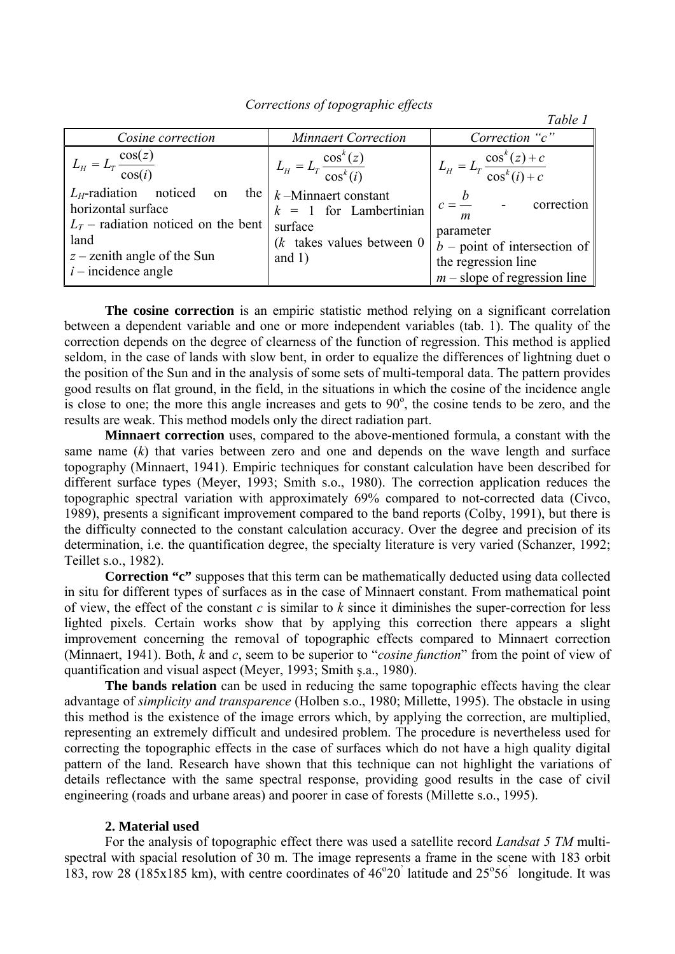|                                                                                                                                                                  |                                                                                                                                                             | Table 1                                                                                                                       |
|------------------------------------------------------------------------------------------------------------------------------------------------------------------|-------------------------------------------------------------------------------------------------------------------------------------------------------------|-------------------------------------------------------------------------------------------------------------------------------|
| Cosine correction                                                                                                                                                | <b>Minnaert Correction</b>                                                                                                                                  | Correction "c"                                                                                                                |
| $L_H = L_T \frac{\cos(z)}{\cos(i)}$<br>$L_H$ -radiation noticed<br>the <sub>1</sub><br>on<br>horizontal surface<br>$L_T$ – radiation noticed on the bent<br>land | $L_{H} = L_{T} \frac{\cos^{k}(z)}{\cos^{k}(i)}$<br>$k$ -Minnaert constant<br>$k = 1$ for Lambertinian<br>surface<br>$(k$ takes values between 0<br>and $1)$ | $L_{H} = L_{T} \frac{\cos^{k}(z) + c}{\cos^{k}(i) + c}$<br>$c = \frac{b}{c}$ -<br>correction<br>$\boldsymbol{m}$<br>parameter |
| $z$ – zenith angle of the Sun<br>$\ $ <i>i</i> – incidence angle                                                                                                 |                                                                                                                                                             | $b$ – point of intersection of<br>the regression line<br>$m$ – slope of regression line                                       |

 *Corrections of topographic effects* 

**The cosine correction** is an empiric statistic method relying on a significant correlation between a dependent variable and one or more independent variables (tab. 1). The quality of the correction depends on the degree of clearness of the function of regression. This method is applied seldom, in the case of lands with slow bent, in order to equalize the differences of lightning duet o the position of the Sun and in the analysis of some sets of multi-temporal data. The pattern provides good results on flat ground, in the field, in the situations in which the cosine of the incidence angle is close to one; the more this angle increases and gets to  $90^\circ$ , the cosine tends to be zero, and the results are weak. This method models only the direct radiation part.

**Minnaert correction** uses, compared to the above-mentioned formula, a constant with the same name (*k*) that varies between zero and one and depends on the wave length and surface topography (Minnaert, 1941). Empiric techniques for constant calculation have been described for different surface types (Meyer, 1993; Smith s.o., 1980). The correction application reduces the topographic spectral variation with approximately 69% compared to not-corrected data (Civco, 1989), presents a significant improvement compared to the band reports (Colby, 1991), but there is the difficulty connected to the constant calculation accuracy. Over the degree and precision of its determination, i.e. the quantification degree, the specialty literature is very varied (Schanzer, 1992; Teillet s.o., 1982).

**Correction "c"** supposes that this term can be mathematically deducted using data collected in situ for different types of surfaces as in the case of Minnaert constant. From mathematical point of view, the effect of the constant *c* is similar to *k* since it diminishes the super-correction for less lighted pixels. Certain works show that by applying this correction there appears a slight improvement concerning the removal of topographic effects compared to Minnaert correction (Minnaert, 1941). Both, *k* and *c*, seem to be superior to "*cosine function*" from the point of view of quantification and visual aspect (Meyer, 1993; Smith ş.a., 1980).

The bands relation can be used in reducing the same topographic effects having the clear advantage of *simplicity and transparence* (Holben s.o., 1980; Millette, 1995). The obstacle in using this method is the existence of the image errors which, by applying the correction, are multiplied, representing an extremely difficult and undesired problem. The procedure is nevertheless used for correcting the topographic effects in the case of surfaces which do not have a high quality digital pattern of the land. Research have shown that this technique can not highlight the variations of details reflectance with the same spectral response, providing good results in the case of civil engineering (roads and urbane areas) and poorer in case of forests (Millette s.o., 1995).

## **2. Material used**

For the analysis of topographic effect there was used a satellite record *Landsat 5 TM* multispectral with spacial resolution of 30 m. The image represents a frame in the scene with 183 orbit 183, row 28 (185x185 km), with centre coordinates of  $46^{\circ}20$  latitude and  $25^{\circ}56$  longitude. It was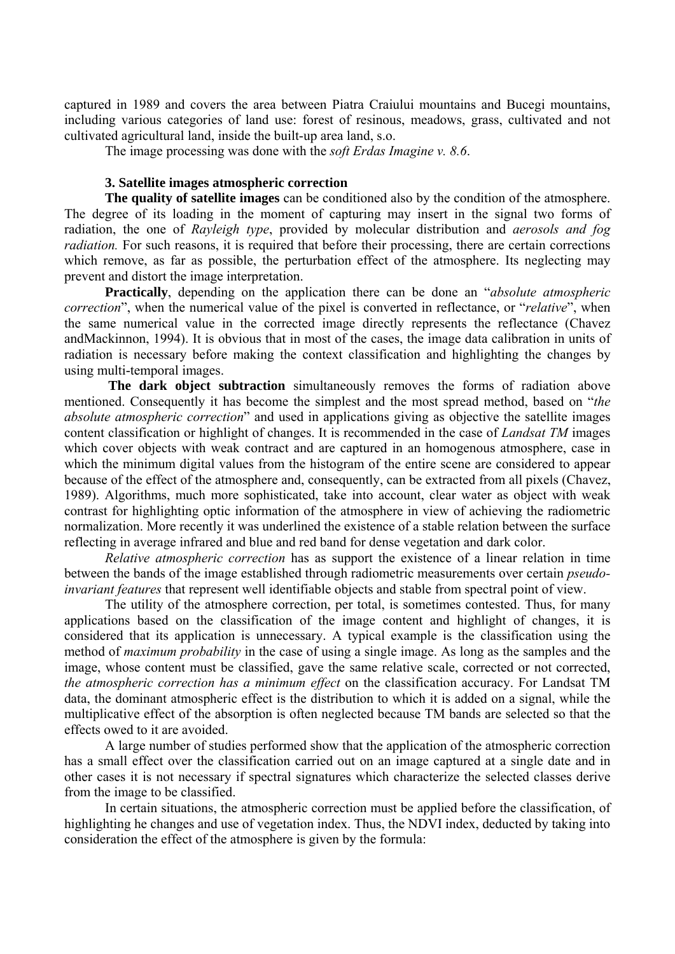captured in 1989 and covers the area between Piatra Craiului mountains and Bucegi mountains, including various categories of land use: forest of resinous, meadows, grass, cultivated and not cultivated agricultural land, inside the built-up area land, s.o.

The image processing was done with the *soft Erdas Imagine v. 8.6*.

# **3. Satellite images atmospheric correction**

**The quality of satellite images** can be conditioned also by the condition of the atmosphere. The degree of its loading in the moment of capturing may insert in the signal two forms of radiation, the one of *Rayleigh type*, provided by molecular distribution and *aerosols and fog radiation*. For such reasons, it is required that before their processing, there are certain corrections which remove, as far as possible, the perturbation effect of the atmosphere. Its neglecting may prevent and distort the image interpretation.

**Practically**, depending on the application there can be done an "*absolute atmospheric correction*", when the numerical value of the pixel is converted in reflectance, or "*relative*", when the same numerical value in the corrected image directly represents the reflectance (Chavez andMackinnon, 1994). It is obvious that in most of the cases, the image data calibration in units of radiation is necessary before making the context classification and highlighting the changes by using multi-temporal images.

 **The dark object subtraction** simultaneously removes the forms of radiation above mentioned. Consequently it has become the simplest and the most spread method, based on "*the absolute atmospheric correction*" and used in applications giving as objective the satellite images content classification or highlight of changes. It is recommended in the case of *Landsat TM* images which cover objects with weak contract and are captured in an homogenous atmosphere, case in which the minimum digital values from the histogram of the entire scene are considered to appear because of the effect of the atmosphere and, consequently, can be extracted from all pixels (Chavez, 1989). Algorithms, much more sophisticated, take into account, clear water as object with weak contrast for highlighting optic information of the atmosphere in view of achieving the radiometric normalization. More recently it was underlined the existence of a stable relation between the surface reflecting in average infrared and blue and red band for dense vegetation and dark color.

*Relative atmospheric correction* has as support the existence of a linear relation in time between the bands of the image established through radiometric measurements over certain *pseudoinvariant features* that represent well identifiable objects and stable from spectral point of view.

The utility of the atmosphere correction, per total, is sometimes contested. Thus, for many applications based on the classification of the image content and highlight of changes, it is considered that its application is unnecessary. A typical example is the classification using the method of *maximum probability* in the case of using a single image. As long as the samples and the image, whose content must be classified, gave the same relative scale, corrected or not corrected, *the atmospheric correction has a minimum effect* on the classification accuracy. For Landsat TM data, the dominant atmospheric effect is the distribution to which it is added on a signal, while the multiplicative effect of the absorption is often neglected because TM bands are selected so that the effects owed to it are avoided.

A large number of studies performed show that the application of the atmospheric correction has a small effect over the classification carried out on an image captured at a single date and in other cases it is not necessary if spectral signatures which characterize the selected classes derive from the image to be classified.

In certain situations, the atmospheric correction must be applied before the classification, of highlighting he changes and use of vegetation index. Thus, the NDVI index, deducted by taking into consideration the effect of the atmosphere is given by the formula: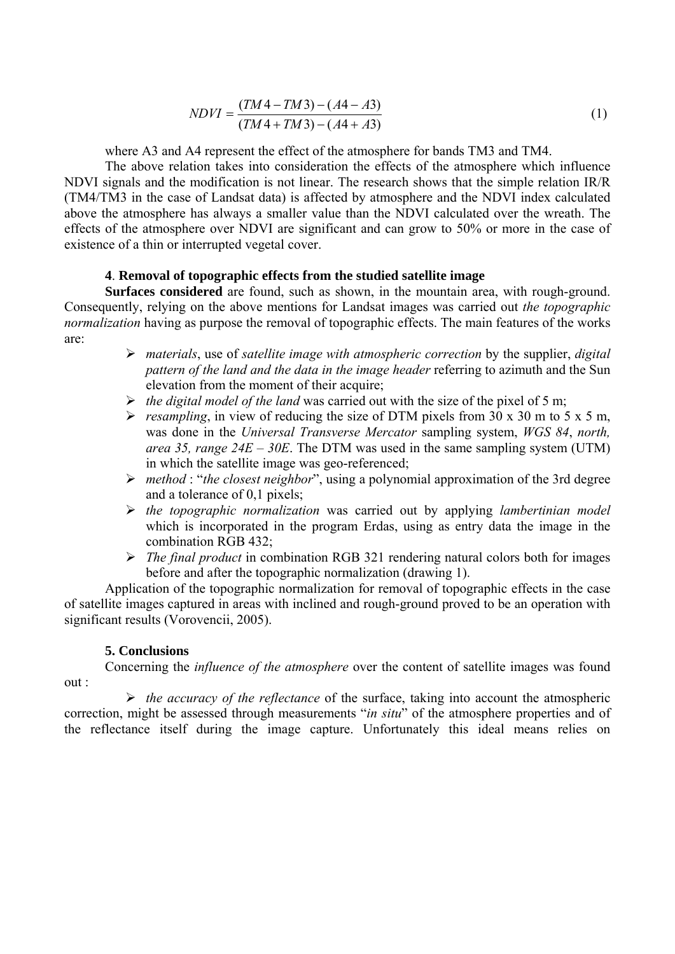$$
NDVI = \frac{(TM4 - TM3) - (A4 - A3)}{(TM4 + TM3) - (A4 + A3)}
$$
\n(1)

where A3 and A4 represent the effect of the atmosphere for bands TM3 and TM4.

 The above relation takes into consideration the effects of the atmosphere which influence NDVI signals and the modification is not linear. The research shows that the simple relation IR/R (TM4/TM3 in the case of Landsat data) is affected by atmosphere and the NDVI index calculated above the atmosphere has always a smaller value than the NDVI calculated over the wreath. The effects of the atmosphere over NDVI are significant and can grow to 50% or more in the case of existence of a thin or interrupted vegetal cover.

# **4**. **Removal of topographic effects from the studied satellite image**

**Surfaces considered** are found, such as shown, in the mountain area, with rough-ground. Consequently, relying on the above mentions for Landsat images was carried out *the topographic normalization* having as purpose the removal of topographic effects. The main features of the works are:

- ¾ *materials*, use of *satellite image with atmospheric correction* by the supplier, *digital pattern of the land and the data in the image header* referring to azimuth and the Sun elevation from the moment of their acquire;
- ¾ *the digital model of the land* was carried out with the size of the pixel of 5 m;
- $\triangleright$  *resampling*, in view of reducing the size of DTM pixels from 30 x 30 m to 5 x 5 m, was done in the *Universal Transverse Mercator* sampling system, *WGS 84*, *north, area 35, range 24E – 30E*. The DTM was used in the same sampling system (UTM) in which the satellite image was geo-referenced;
- ¾ *method* : "*the closest neighbor*", using a polynomial approximation of the 3rd degree and a tolerance of 0,1 pixels;
- ¾ *the topographic normalization* was carried out by applying *lambertinian model*  which is incorporated in the program Erdas, using as entry data the image in the combination RGB 432;
- ¾ *The final product* in combination RGB 321 rendering natural colors both for images before and after the topographic normalization (drawing 1).

Application of the topographic normalization for removal of topographic effects in the case of satellite images captured in areas with inclined and rough-ground proved to be an operation with significant results (Vorovencii, 2005).

## **5. Conclusions**

 Concerning the *influence of the atmosphere* over the content of satellite images was found out :

¾ *the accuracy of the reflectance* of the surface, taking into account the atmospheric correction, might be assessed through measurements "*in situ*" of the atmosphere properties and of the reflectance itself during the image capture. Unfortunately this ideal means relies on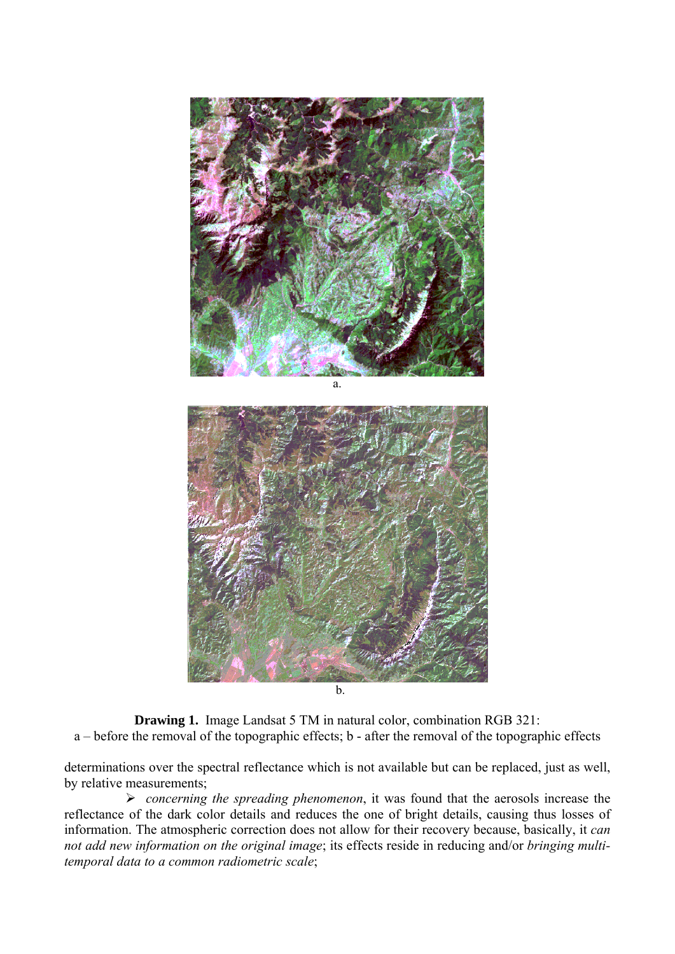

 $\mathbf{b}$ .

**Drawing 1.** Image Landsat 5 TM in natural color, combination RGB 321: a – before the removal of the topographic effects; b - after the removal of the topographic effects

determinations over the spectral reflectance which is not available but can be replaced, just as well, by relative measurements;

¾ *concerning the spreading phenomenon*, it was found that the aerosols increase the reflectance of the dark color details and reduces the one of bright details, causing thus losses of information. The atmospheric correction does not allow for their recovery because, basically, it *can not add new information on the original image*; its effects reside in reducing and/or *bringing multitemporal data to a common radiometric scale*;